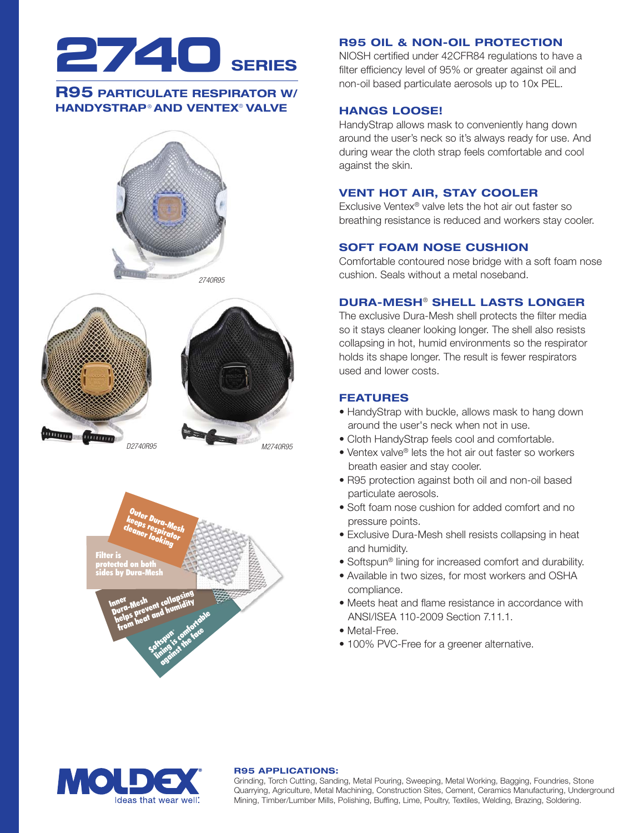

# **R95 PARTICULATE RESPIRATOR W/ HANDYSTRAP® AND VENTEX® VALVE**







Inner nner<br>Durg-Mesh i<sup>ner</sup><br>Jura-Mesh<br>helps prevent d humidity<br>helps p<sub>r</sub>eat and humidity nen<br>ura-Mesment collumidity<br>nelps prevt and humidity<br>from heat and humidity Softspun and its confortable<br>brown's confortable<br>translits the face squit's contractors Filter is protected on both sides by Dura-Mesh psing<br>Midin Outer Dura-Mesh<br>Leeps respirator<br>Leaner looking<br>on both<br>on both<br>Angle on the Collapsing<br>Angle on the Collapsing<br>Sheat and humidity<br>in heat and humidity ke<sup>erer</sup> Dura-Mes<br>leaps respirator<br><sup>leaner</sup> look: cleaner looking

## **R95 OIL & NON-OIL PROTECTION**

NIOSH certified under 42CFR84 regulations to have a filter efficiency level of 95% or greater against oil and non-oil based particulate aerosols up to 10x PEL.

# **HANGS LOOSE!**

HandyStrap allows mask to conveniently hang down around the user's neck so it's always ready for use. And during wear the cloth strap feels comfortable and cool against the skin.

# **VENT HOT AIR, STAY COOLER**

Exclusive Ventex® valve lets the hot air out faster so breathing resistance is reduced and workers stay cooler.

## **SOFT FOAM NOSE CUSHION**

Comfortable contoured nose bridge with a soft foam nose cushion. Seals without a metal noseband.

# **DURA-MESH**® **SHELL LASTS LONGER**

The exclusive Dura-Mesh shell protects the filter media so it stays cleaner looking longer. The shell also resists collapsing in hot, humid environments so the respirator holds its shape longer. The result is fewer respirators used and lower costs.

## **FEATURES**

- HandyStrap with buckle, allows mask to hang down around the user's neck when not in use.
- Cloth HandyStrap feels cool and comfortable.
- Ventex valve® lets the hot air out faster so workers breath easier and stay cooler.
- R95 protection against both oil and non-oil based particulate aerosols.
- Soft foam nose cushion for added comfort and no pressure points.
- Exclusive Dura-Mesh shell resists collapsing in heat and humidity.
- Softspun® lining for increased comfort and durability.
- Available in two sizes, for most workers and OSHA compliance.
- Meets heat and flame resistance in accordance with ANSI/ISEA 110-2009 Section 7.11.1.
- Metal-Free.
- 100% PVC-Free for a greener alternative.



## **R95 APPLICATIONS:**

Grinding, Torch Cutting, Sanding, Metal Pouring, Sweeping, Metal Working, Bagging, Foundries, Stone Quarrying, Agriculture, Metal Machining, Construction Sites, Cement, Ceramics Manufacturing, Underground Mining, Timber/Lumber Mills, Polishing, Buffing, Lime, Poultry, Textiles, Welding, Brazing, Soldering.